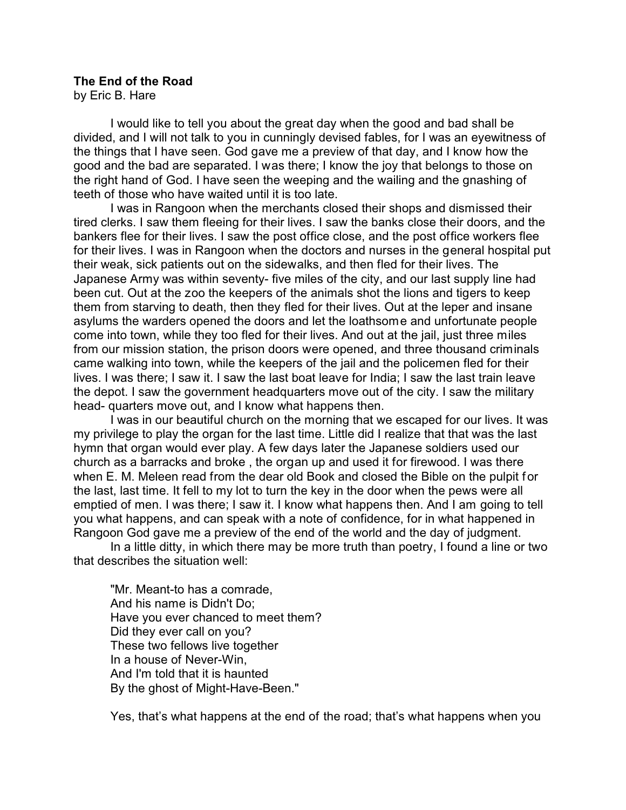## **The End of the Road**

by Eric B. Hare

I would like to tell you about the great day when the good and bad shall be divided, and I will not talk to you in cunningly devised fables, for I was an eyewitness of the things that I have seen. God gave me a preview of that day, and I know how the good and the bad are separated. I was there; I know the joy that belongs to those on the right hand of God. I have seen the weeping and the wailing and the gnashing of teeth of those who have waited until it is too late.

I was in Rangoon when the merchants closed their shops and dismissed their tired clerks. I saw them fleeing for their lives. I saw the banks close their doors, and the bankers flee for their lives. I saw the post office close, and the post office workers flee for their lives. I was in Rangoon when the doctors and nurses in the general hospital put their weak, sick patients out on the sidewalks, and then fled for their lives. The Japanese Army was within seventy- five miles of the city, and our last supply line had been cut. Out at the zoo the keepers of the animals shot the lions and tigers to keep them from starving to death, then they fled for their lives. Out at the leper and insane asylums the warders opened the doors and let the loathsome and unfortunate people come into town, while they too fled for their lives. And out at the jail, just three miles from our mission station, the prison doors were opened, and three thousand criminals came walking into town, while the keepers of the jail and the policemen fled for their lives. I was there; I saw it. I saw the last boat leave for India; I saw the last train leave the depot. I saw the government headquarters move out of the city. I saw the military head- quarters move out, and I know what happens then.

I was in our beautiful church on the morning that we escaped for our lives. It was my privilege to play the organ for the last time. Little did I realize that that was the last hymn that organ would ever play. A few days later the Japanese soldiers used our church as a barracks and broke , the organ up and used it for firewood. I was there when E. M. Meleen read from the dear old Book and closed the Bible on the pulpit for the last, last time. It fell to my lot to turn the key in the door when the pews were all emptied of men. I was there; I saw it. I know what happens then. And I am going to tell you what happens, and can speak with a note of confidence, for in what happened in Rangoon God gave me a preview of the end of the world and the day of judgment.

In a little ditty, in which there may be more truth than poetry, I found a line or two that describes the situation well:

"Mr. Meant-to has a comrade, And his name is Didn't Do; Have you ever chanced to meet them? Did they ever call on you? These two fellows live together In a house of Never-Win, And I'm told that it is haunted By the ghost of Might-Have-Been."

Yes, that's what happens at the end of the road; that's what happens when you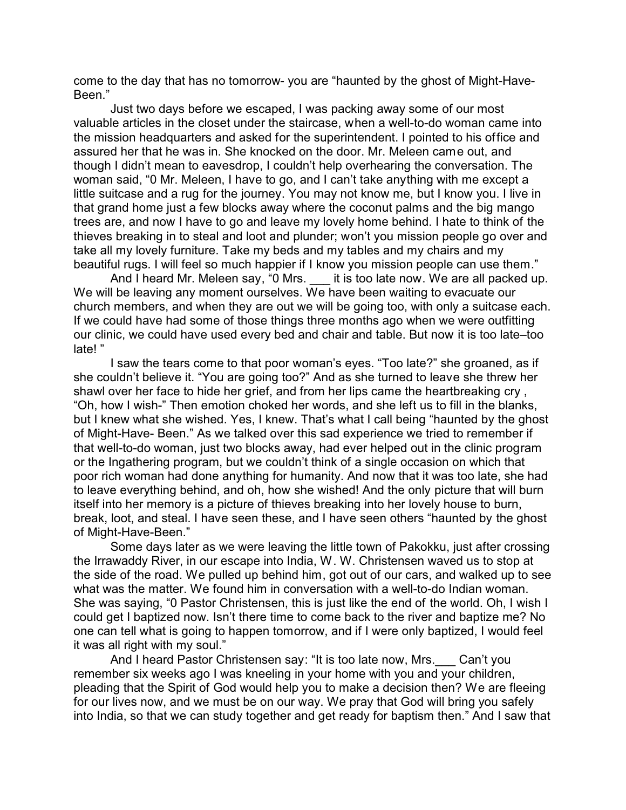come to the day that has no tomorrow- you are "haunted by the ghost of Might-Have-Been."

Just two days before we escaped, I was packing away some of our most valuable articles in the closet under the staircase, when a well-to-do woman came into the mission headquarters and asked for the superintendent. I pointed to his office and assured her that he was in. She knocked on the door. Mr. Meleen came out, and though I didn't mean to eavesdrop, I couldn't help overhearing the conversation. The woman said, "0 Mr. Meleen, I have to go, and I can't take anything with me except a little suitcase and a rug for the journey. You may not know me, but I know you. I live in that grand home just a few blocks away where the coconut palms and the big mango trees are, and now I have to go and leave my lovely home behind. I hate to think of the thieves breaking in to steal and loot and plunder; won't you mission people go over and take all my lovely furniture. Take my beds and my tables and my chairs and my beautiful rugs. I will feel so much happier if I know you mission people can use them."

And I heard Mr. Meleen say, "0 Mrs. it is too late now. We are all packed up. We will be leaving any moment ourselves. We have been waiting to evacuate our church members, and when they are out we will be going too, with only a suitcase each. If we could have had some of those things three months ago when we were outfitting our clinic, we could have used every bed and chair and table. But now it is too late–too late! "

I saw the tears come to that poor woman's eyes. "Too late?" she groaned, as if she couldn't believe it. "You are going too?" And as she turned to leave she threw her shawl over her face to hide her grief, and from her lips came the heartbreaking cry , "Oh, how I wish-" Then emotion choked her words, and she left us to fill in the blanks, but I knew what she wished. Yes, I knew. That's what I call being "haunted by the ghost of Might-Have- Been." As we talked over this sad experience we tried to remember if that well-to-do woman, just two blocks away, had ever helped out in the clinic program or the Ingathering program, but we couldn't think of a single occasion on which that poor rich woman had done anything for humanity. And now that it was too late, she had to leave everything behind, and oh, how she wished! And the only picture that will burn itself into her memory is a picture of thieves breaking into her lovely house to burn, break, loot, and steal. I have seen these, and I have seen others "haunted by the ghost of Might-Have-Been."

Some days later as we were leaving the little town of Pakokku, just after crossing the Irrawaddy River, in our escape into India, W. W. Christensen waved us to stop at the side of the road. We pulled up behind him, got out of our cars, and walked up to see what was the matter. We found him in conversation with a well-to-do Indian woman. She was saying, "0 Pastor Christensen, this is just like the end of the world. Oh, I wish I could get I baptized now. Isn't there time to come back to the river and baptize me? No one can tell what is going to happen tomorrow, and if I were only baptized, I would feel it was all right with my soul."

And I heard Pastor Christensen say: "It is too late now, Mrs.\_\_\_ Can't you remember six weeks ago I was kneeling in your home with you and your children, pleading that the Spirit of God would help you to make a decision then? We are fleeing for our lives now, and we must be on our way. We pray that God will bring you safely into India, so that we can study together and get ready for baptism then." And I saw that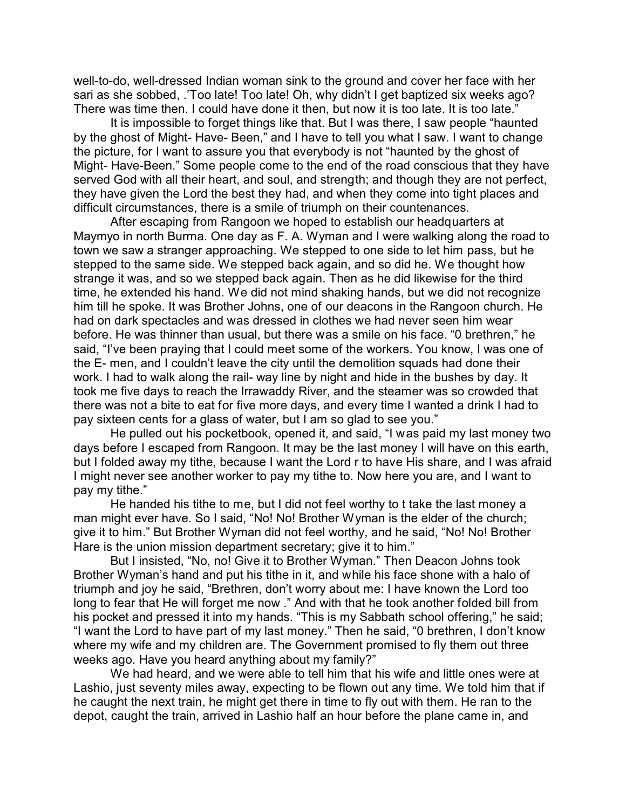well-to-do, well-dressed Indian woman sink to the ground and cover her face with her sari as she sobbed, .'Too late! Too late! Oh, why didn't I get baptized six weeks ago? There was time then. I could have done it then, but now it is too late. It is too late."

It is impossible to forget things like that. But I was there, I saw people "haunted by the ghost of Might- Have- Been," and I have to tell you what I saw. I want to change the picture, for I want to assure you that everybody is not "haunted by the ghost of Might- Have-Been." Some people come to the end of the road conscious that they have served God with all their heart, and soul, and strength; and though they are not perfect, they have given the Lord the best they had, and when they come into tight places and difficult circumstances, there is a smile of triumph on their countenances.

After escaping from Rangoon we hoped to establish our headquarters at Maymyo in north Burma. One day as F. A. Wyman and I were walking along the road to town we saw a stranger approaching. We stepped to one side to let him pass, but he stepped to the same side. We stepped back again, and so did he. We thought how strange it was, and so we stepped back again. Then as he did likewise for the third time, he extended his hand. We did not mind shaking hands, but we did not recognize him till he spoke. It was Brother Johns, one of our deacons in the Rangoon church. He had on dark spectacles and was dressed in clothes we had never seen him wear before. He was thinner than usual, but there was a smile on his face. "0 brethren," he said, "I've been praying that I could meet some of the workers. You know, I was one of the E- men, and I couldn't leave the city until the demolition squads had done their work. I had to walk along the rail- way line by night and hide in the bushes by day. It took me five days to reach the Irrawaddy River, and the steamer was so crowded that there was not a bite to eat for five more days, and every time I wanted a drink I had to pay sixteen cents for a glass of water, but I am so glad to see you."

He pulled out his pocketbook, opened it, and said, "I was paid my last money two days before I escaped from Rangoon. It may be the last money I will have on this earth, but I folded away my tithe, because I want the Lord r to have His share, and I was afraid I might never see another worker to pay my tithe to. Now here you are, and I want to pay my tithe."

He handed his tithe to me, but I did not feel worthy to t take the last money a man might ever have. So I said, "No! No! Brother Wyman is the elder of the church; give it to him." But Brother Wyman did not feel worthy, and he said, "No! No! Brother Hare is the union mission department secretary; give it to him."

But I insisted, "No, no! Give it to Brother Wyman." Then Deacon Johns took Brother Wyman's hand and put his tithe in it, and while his face shone with a halo of triumph and joy he said, "Brethren, don't worry about me: I have known the Lord too long to fear that He will forget me now ." And with that he took another folded bill from his pocket and pressed it into my hands. "This is my Sabbath school offering," he said; "I want the Lord to have part of my last money." Then he said, "0 brethren, I don't know where my wife and my children are. The Government promised to fly them out three weeks ago. Have you heard anything about my family?"

We had heard, and we were able to tell him that his wife and little ones were at Lashio, just seventy miles away, expecting to be flown out any time. We told him that if he caught the next train, he might get there in time to fly out with them. He ran to the depot, caught the train, arrived in Lashio half an hour before the plane came in, and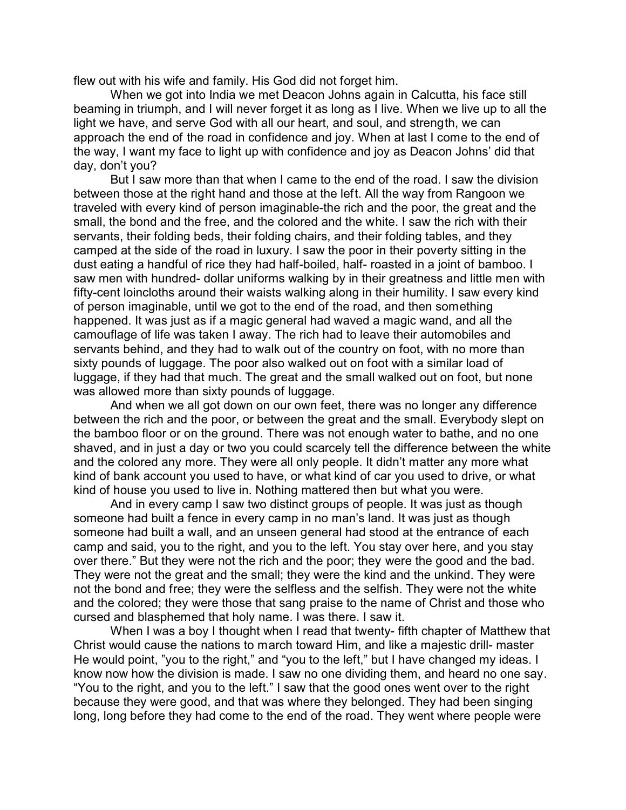flew out with his wife and family. His God did not forget him.

When we got into India we met Deacon Johns again in Calcutta, his face still beaming in triumph, and I will never forget it as long as I live. When we live up to all the light we have, and serve God with all our heart, and soul, and strength, we can approach the end of the road in confidence and joy. When at last I come to the end of the way, I want my face to light up with confidence and joy as Deacon Johns' did that day, don't you?

But I saw more than that when I came to the end of the road. I saw the division between those at the right hand and those at the left. All the way from Rangoon we traveled with every kind of person imaginable-the rich and the poor, the great and the small, the bond and the free, and the colored and the white. I saw the rich with their servants, their folding beds, their folding chairs, and their folding tables, and they camped at the side of the road in luxury. I saw the poor in their poverty sitting in the dust eating a handful of rice they had half-boiled, half- roasted in a joint of bamboo. I saw men with hundred- dollar uniforms walking by in their greatness and little men with fifty-cent loincloths around their waists walking along in their humility. I saw every kind of person imaginable, until we got to the end of the road, and then something happened. It was just as if a magic general had waved a magic wand, and all the camouflage of life was taken I away. The rich had to leave their automobiles and servants behind, and they had to walk out of the country on foot, with no more than sixty pounds of luggage. The poor also walked out on foot with a similar load of luggage, if they had that much. The great and the small walked out on foot, but none was allowed more than sixty pounds of luggage.

And when we all got down on our own feet, there was no longer any difference between the rich and the poor, or between the great and the small. Everybody slept on the bamboo floor or on the ground. There was not enough water to bathe, and no one shaved, and in just a day or two you could scarcely tell the difference between the white and the colored any more. They were all only people. It didn't matter any more what kind of bank account you used to have, or what kind of car you used to drive, or what kind of house you used to live in. Nothing mattered then but what you were.

And in every camp I saw two distinct groups of people. It was just as though someone had built a fence in every camp in no man's land. It was just as though someone had built a wall, and an unseen general had stood at the entrance of each camp and said, you to the right, and you to the left. You stay over here, and you stay over there." But they were not the rich and the poor; they were the good and the bad. They were not the great and the small; they were the kind and the unkind. They were not the bond and free; they were the selfless and the selfish. They were not the white and the colored; they were those that sang praise to the name of Christ and those who cursed and blasphemed that holy name. I was there. I saw it.

When I was a boy I thought when I read that twenty- fifth chapter of Matthew that Christ would cause the nations to march toward Him, and like a majestic drill- master He would point, "you to the right," and "you to the left," but I have changed my ideas. I know now how the division is made. I saw no one dividing them, and heard no one say. "You to the right, and you to the left." I saw that the good ones went over to the right because they were good, and that was where they belonged. They had been singing long, long before they had come to the end of the road. They went where people were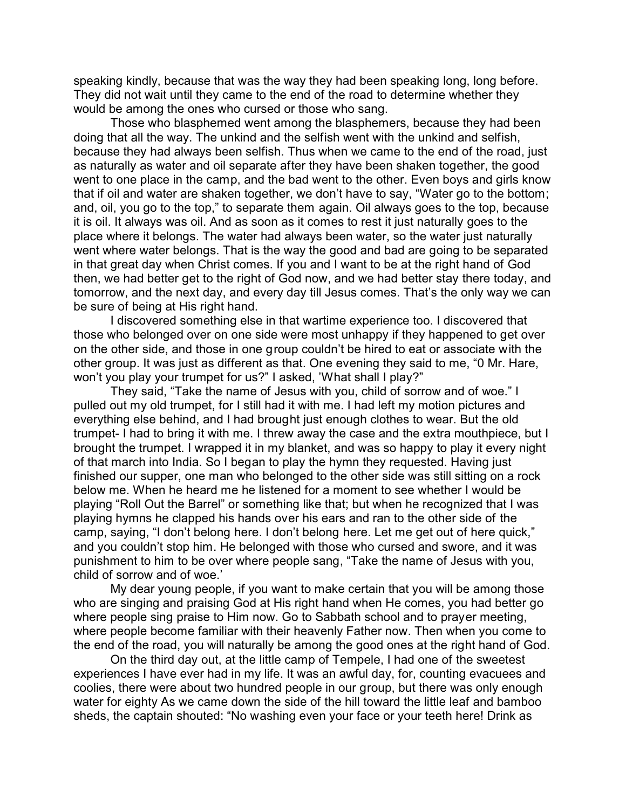speaking kindly, because that was the way they had been speaking long, long before. They did not wait until they came to the end of the road to determine whether they would be among the ones who cursed or those who sang.

Those who blasphemed went among the blasphemers, because they had been doing that all the way. The unkind and the selfish went with the unkind and selfish, because they had always been selfish. Thus when we came to the end of the road, just as naturally as water and oil separate after they have been shaken together, the good went to one place in the camp, and the bad went to the other. Even boys and girls know that if oil and water are shaken together, we don't have to say, "Water go to the bottom; and, oil, you go to the top," to separate them again. Oil always goes to the top, because it is oil. It always was oil. And as soon as it comes to rest it just naturally goes to the place where it belongs. The water had always been water, so the water just naturally went where water belongs. That is the way the good and bad are going to be separated in that great day when Christ comes. If you and I want to be at the right hand of God then, we had better get to the right of God now, and we had better stay there today, and tomorrow, and the next day, and every day till Jesus comes. That's the only way we can be sure of being at His right hand.

I discovered something else in that wartime experience too. I discovered that those who belonged over on one side were most unhappy if they happened to get over on the other side, and those in one group couldn't be hired to eat or associate with the other group. It was just as different as that. One evening they said to me, "0 Mr. Hare, won't you play your trumpet for us?" I asked, 'What shall I play?"

They said, "Take the name of Jesus with you, child of sorrow and of woe." I pulled out my old trumpet, for I still had it with me. I had left my motion pictures and everything else behind, and I had brought just enough clothes to wear. But the old trumpet- I had to bring it with me. I threw away the case and the extra mouthpiece, but I brought the trumpet. I wrapped it in my blanket, and was so happy to play it every night of that march into India. So I began to play the hymn they requested. Having just finished our supper, one man who belonged to the other side was still sitting on a rock below me. When he heard me he listened for a moment to see whether I would be playing "Roll Out the Barrel" or something like that; but when he recognized that I was playing hymns he clapped his hands over his ears and ran to the other side of the camp, saying, "I don't belong here. I don't belong here. Let me get out of here quick," and you couldn't stop him. He belonged with those who cursed and swore, and it was punishment to him to be over where people sang, "Take the name of Jesus with you, child of sorrow and of woe.'

My dear young people, if you want to make certain that you will be among those who are singing and praising God at His right hand when He comes, you had better go where people sing praise to Him now. Go to Sabbath school and to prayer meeting, where people become familiar with their heavenly Father now. Then when you come to the end of the road, you will naturally be among the good ones at the right hand of God.

On the third day out, at the little camp of Tempele, I had one of the sweetest experiences I have ever had in my life. It was an awful day, for, counting evacuees and coolies, there were about two hundred people in our group, but there was only enough water for eighty As we came down the side of the hill toward the little leaf and bamboo sheds, the captain shouted: "No washing even your face or your teeth here! Drink as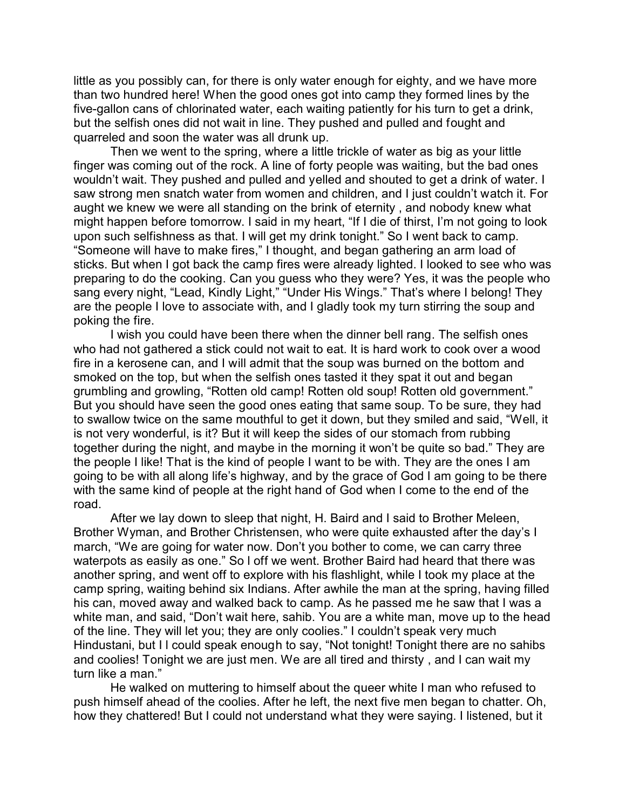little as you possibly can, for there is only water enough for eighty, and we have more than two hundred here! When the good ones got into camp they formed lines by the five-gallon cans of chlorinated water, each waiting patiently for his turn to get a drink, but the selfish ones did not wait in line. They pushed and pulled and fought and quarreled and soon the water was all drunk up.

Then we went to the spring, where a little trickle of water as big as your little finger was coming out of the rock. A line of forty people was waiting, but the bad ones wouldn't wait. They pushed and pulled and yelled and shouted to get a drink of water. I saw strong men snatch water from women and children, and I just couldn't watch it. For aught we knew we were all standing on the brink of eternity , and nobody knew what might happen before tomorrow. I said in my heart, "If I die of thirst, I'm not going to look upon such selfishness as that. I will get my drink tonight." So I went back to camp. "Someone will have to make fires," I thought, and began gathering an arm load of sticks. But when I got back the camp fires were already lighted. I looked to see who was preparing to do the cooking. Can you guess who they were? Yes, it was the people who sang every night, "Lead, Kindly Light," "Under His Wings." That's where I belong! They are the people I love to associate with, and I gladly took my turn stirring the soup and poking the fire.

I wish you could have been there when the dinner bell rang. The selfish ones who had not gathered a stick could not wait to eat. It is hard work to cook over a wood fire in a kerosene can, and I will admit that the soup was burned on the bottom and smoked on the top, but when the selfish ones tasted it they spat it out and began grumbling and growling, "Rotten old camp! Rotten old soup! Rotten old government." But you should have seen the good ones eating that same soup. To be sure, they had to swallow twice on the same mouthful to get it down, but they smiled and said, "Well, it is not very wonderful, is it? But it will keep the sides of our stomach from rubbing together during the night, and maybe in the morning it won't be quite so bad." They are the people I like! That is the kind of people I want to be with. They are the ones I am going to be with all along life's highway, and by the grace of God I am going to be there with the same kind of people at the right hand of God when I come to the end of the road.

After we lay down to sleep that night, H. Baird and I said to Brother Meleen, Brother Wyman, and Brother Christensen, who were quite exhausted after the day's I march, "We are going for water now. Don't you bother to come, we can carry three waterpots as easily as one." So l off we went. Brother Baird had heard that there was another spring, and went off to explore with his flashlight, while I took my place at the camp spring, waiting behind six Indians. After awhile the man at the spring, having filled his can, moved away and walked back to camp. As he passed me he saw that I was a white man, and said, "Don't wait here, sahib. You are a white man, move up to the head of the line. They will let you; they are only coolies." I couldn't speak very much Hindustani, but I I could speak enough to say, "Not tonight! Tonight there are no sahibs and coolies! Tonight we are just men. We are all tired and thirsty , and I can wait my turn like a man."

He walked on muttering to himself about the queer white I man who refused to push himself ahead of the coolies. After he left, the next five men began to chatter. Oh, how they chattered! But I could not understand what they were saying. I listened, but it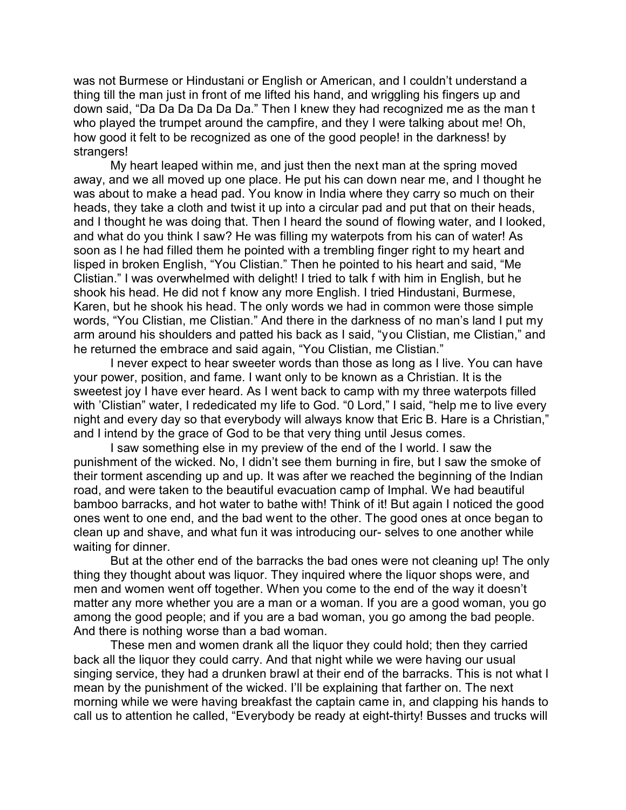was not Burmese or Hindustani or English or American, and I couldn't understand a thing till the man just in front of me lifted his hand, and wriggling his fingers up and down said, "Da Da Da Da Da Da." Then I knew they had recognized me as the man t who played the trumpet around the campfire, and they I were talking about me! Oh, how good it felt to be recognized as one of the good people! in the darkness! by strangers!

My heart leaped within me, and just then the next man at the spring moved away, and we all moved up one place. He put his can down near me, and I thought he was about to make a head pad. You know in India where they carry so much on their heads, they take a cloth and twist it up into a circular pad and put that on their heads, and I thought he was doing that. Then I heard the sound of flowing water, and I looked, and what do you think I saw? He was filling my waterpots from his can of water! As soon as l he had filled them he pointed with a trembling finger right to my heart and lisped in broken English, "You Clistian." Then he pointed to his heart and said, "Me Clistian." I was overwhelmed with delight! I tried to talk f with him in English, but he shook his head. He did not f know any more English. I tried Hindustani, Burmese, Karen, but he shook his head. The only words we had in common were those simple words, "You Clistian, me Clistian." And there in the darkness of no man's land I put my arm around his shoulders and patted his back as I said, "you Clistian, me Clistian," and he returned the embrace and said again, "You Clistian, me Clistian."

I never expect to hear sweeter words than those as long as I live. You can have your power, position, and fame. I want only to be known as a Christian. It is the sweetest joy I have ever heard. As I went back to camp with my three waterpots filled with 'Clistian" water, I rededicated my life to God. "0 Lord," I said, "help me to live every night and every day so that everybody will always know that Eric B. Hare is a Christian," and I intend by the grace of God to be that very thing until Jesus comes.

I saw something else in my preview of the end of the I world. I saw the punishment of the wicked. No, I didn't see them burning in fire, but I saw the smoke of their torment ascending up and up. It was after we reached the beginning of the Indian road, and were taken to the beautiful evacuation camp of Imphal. We had beautiful bamboo barracks, and hot water to bathe with! Think of it! But again I noticed the good ones went to one end, and the bad went to the other. The good ones at once began to clean up and shave, and what fun it was introducing our- selves to one another while waiting for dinner.

But at the other end of the barracks the bad ones were not cleaning up! The only thing they thought about was liquor. They inquired where the liquor shops were, and men and women went off together. When you come to the end of the way it doesn't matter any more whether you are a man or a woman. If you are a good woman, you go among the good people; and if you are a bad woman, you go among the bad people. And there is nothing worse than a bad woman.

These men and women drank all the liquor they could hold; then they carried back all the liquor they could carry. And that night while we were having our usual singing service, they had a drunken brawl at their end of the barracks. This is not what I mean by the punishment of the wicked. I'll be explaining that farther on. The next morning while we were having breakfast the captain came in, and clapping his hands to call us to attention he called, "Everybody be ready at eight-thirty! Busses and trucks will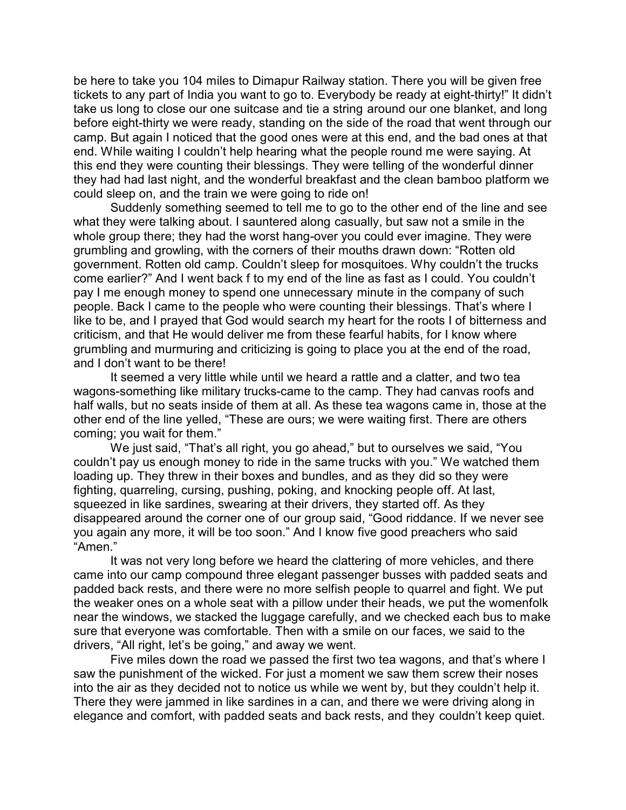be here to take you 104 miles to Dimapur Railway station. There you will be given free tickets to any part of India you want to go to. Everybody be ready at eight-thirty!" It didn't take us long to close our one suitcase and tie a string around our one blanket, and long before eight-thirty we were ready, standing on the side of the road that went through our camp. But again I noticed that the good ones were at this end, and the bad ones at that end. While waiting I couldn't help hearing what the people round me were saying. At this end they were counting their blessings. They were telling of the wonderful dinner they had had last night, and the wonderful breakfast and the clean bamboo platform we could sleep on, and the train we were going to ride on!

Suddenly something seemed to tell me to go to the other end of the line and see what they were talking about. I sauntered along casually, but saw not a smile in the whole group there; they had the worst hang-over you could ever imagine. They were grumbling and growling, with the corners of their mouths drawn down: "Rotten old government. Rotten old camp. Couldn't sleep for mosquitoes. Why couldn't the trucks come earlier?" And I went back f to my end of the line as fast as I could. You couldn't pay I me enough money to spend one unnecessary minute in the company of such people. Back I came to the people who were counting their blessings. That's where I like to be, and I prayed that God would search my heart for the roots I of bitterness and criticism, and that He would deliver me from these fearful habits, for I know where grumbling and murmuring and criticizing is going to place you at the end of the road, and I don't want to be there!

It seemed a very little while until we heard a rattle and a clatter, and two tea wagons-something like military trucks-came to the camp. They had canvas roofs and half walls, but no seats inside of them at all. As these tea wagons came in, those at the other end of the line yelled, "These are ours; we were waiting first. There are others coming; you wait for them."

We just said, "That's all right, you go ahead," but to ourselves we said, "You couldn't pay us enough money to ride in the same trucks with you." We watched them loading up. They threw in their boxes and bundles, and as they did so they were fighting, quarreling, cursing, pushing, poking, and knocking people off. At last, squeezed in like sardines, swearing at their drivers, they started off. As they disappeared around the corner one of our group said, "Good riddance. If we never see you again any more, it will be too soon." And I know five good preachers who said "Amen."

It was not very long before we heard the clattering of more vehicles, and there came into our camp compound three elegant passenger busses with padded seats and padded back rests, and there were no more selfish people to quarrel and fight. We put the weaker ones on a whole seat with a pillow under their heads, we put the womenfolk near the windows, we stacked the luggage carefully, and we checked each bus to make sure that everyone was comfortable. Then with a smile on our faces, we said to the drivers, "All right, let's be going," and away we went.

Five miles down the road we passed the first two tea wagons, and that's where I saw the punishment of the wicked. For just a moment we saw them screw their noses into the air as they decided not to notice us while we went by, but they couldn't help it. There they were jammed in like sardines in a can, and there we were driving along in elegance and comfort, with padded seats and back rests, and they couldn't keep quiet.